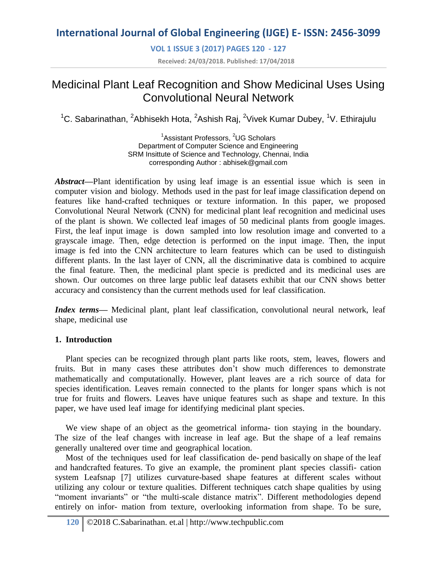**VOL 1 ISSUE 3 (2017) PAGES 120 - 127**

**Received: 24/03/2018. Published: 17/04/2018**

# Medicinal Plant Leaf Recognition and Show Medicinal Uses Using Convolutional Neural Network

<sup>1</sup>C. Sabarinathan, <sup>2</sup>Abhisekh Hota, <sup>2</sup>Ashish Raj, <sup>2</sup>Vivek Kumar Dubey, <sup>1</sup>V. Ethirajulu

<sup>1</sup>Assistant Professors, <sup>2</sup>UG Scholars Department of Computer Science and Engineering SRM Insittute of Science and Technology, Chennai, India corresponding Author : abhisek@gmail.com

*Abstract***—**Plant identification by using leaf image is an essential issue which is seen in computer vision and biology. Methods used in the past for leaf image classification depend on features like hand-crafted techniques or texture information. In this paper, we proposed Convolutional Neural Network (CNN) for medicinal plant leaf recognition and medicinal uses of the plant is shown. We collected leaf images of 50 medicinal plants from google images. First, the leaf input image is down sampled into low resolution image and converted to a grayscale image. Then, edge detection is performed on the input image. Then, the input image is fed into the CNN architecture to learn features which can be used to distinguish different plants. In the last layer of CNN, all the discriminative data is combined to acquire the final feature. Then, the medicinal plant specie is predicted and its medicinal uses are shown. Our outcomes on three large public leaf datasets exhibit that our CNN shows better accuracy and consistency than the current methods used for leaf classification.

*Index terms*— Medicinal plant, plant leaf classification, convolutional neural network, leaf shape, medicinal use

## **1. Introduction**

Plant species can be recognized through plant parts like roots, stem, leaves, flowers and fruits. But in many cases these attributes don't show much differences to demonstrate mathematically and computationally. However, plant leaves are a rich source of data for species identification. Leaves remain connected to the plants for longer spans which is not true for fruits and flowers. Leaves have unique features such as shape and texture. In this paper, we have used leaf image for identifying medicinal plant species.

We view shape of an object as the geometrical informa- tion staying in the boundary. The size of the leaf changes with increase in leaf age. But the shape of a leaf remains generally unaltered over time and geographical location.

Most of the techniques used for leaf classification de- pend basically on shape of the leaf and handcrafted features. To give an example, the prominent plant species classifi- cation system Leafsnap [7] utilizes curvature-based shape features at different scales without utilizing any colour or texture qualities. Different techniques catch shape qualities by using "moment invariants" or "the multi-scale distance matrix". Different methodologies depend entirely on infor- mation from texture, overlooking information from shape. To be sure,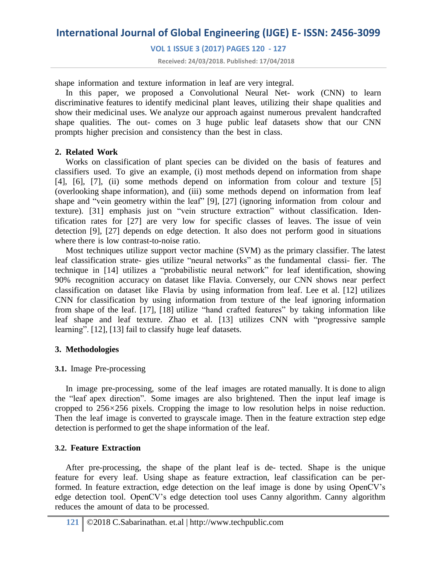**VOL 1 ISSUE 3 (2017) PAGES 120 - 127**

**Received: 24/03/2018. Published: 17/04/2018**

shape information and texture information in leaf are very integral.

In this paper, we proposed a Convolutional Neural Net- work (CNN) to learn discriminative features to identify medicinal plant leaves, utilizing their shape qualities and show their medicinal uses. We analyze our approach against numerous prevalent handcrafted shape qualities. The out- comes on 3 huge public leaf datasets show that our CNN prompts higher precision and consistency than the best in class.

### **2. Related Work**

Works on classification of plant species can be divided on the basis of features and classifiers used. To give an example, (i) most methods depend on information from shape [4], [6], [7], (ii) some methods depend on information from colour and texture [5] (overlooking shape information), and (iii) some methods depend on information from leaf shape and "vein geometry within the leaf" [9], [27] (ignoring information from colour and texture). [31] emphasis just on "vein structure extraction" without classification. Identification rates for [27] are very low for specific classes of leaves. The issue of vein detection [9], [27] depends on edge detection. It also does not perform good in situations where there is low contrast-to-noise ratio.

Most techniques utilize support vector machine (SVM) as the primary classifier. The latest leaf classification strate- gies utilize "neural networks" as the fundamental classi- fier. The technique in [14] utilizes a "probabilistic neural network" for leaf identification, showing 90% recognition accuracy on dataset like Flavia. Conversely, our CNN shows near perfect classification on dataset like Flavia by using information from leaf. Lee et al. [12] utilizes CNN for classification by using information from texture of the leaf ignoring information from shape of the leaf. [17], [18] utilize "hand crafted features" by taking information like leaf shape and leaf texture. Zhao et al. [13] utilizes CNN with "progressive sample learning". [12], [13] fail to classify huge leaf datasets.

### **3. Methodologies**

### **3.1.** Image Pre-processing

In image pre-processing, some of the leaf images are rotated manually. It is done to align the "leaf apex direction". Some images are also brightened. Then the input leaf image is cropped to 256*×*256 pixels. Cropping the image to low resolution helps in noise reduction. Then the leaf image is converted to grayscale image. Then in the feature extraction step edge detection is performed to get the shape information of the leaf.

## **3.2. Feature Extraction**

After pre-processing, the shape of the plant leaf is de- tected. Shape is the unique feature for every leaf. Using shape as feature extraction, leaf classification can be performed. In feature extraction, edge detection on the leaf image is done by using OpenCV's edge detection tool. OpenCV's edge detection tool uses Canny algorithm. Canny algorithm reduces the amount of data to be processed.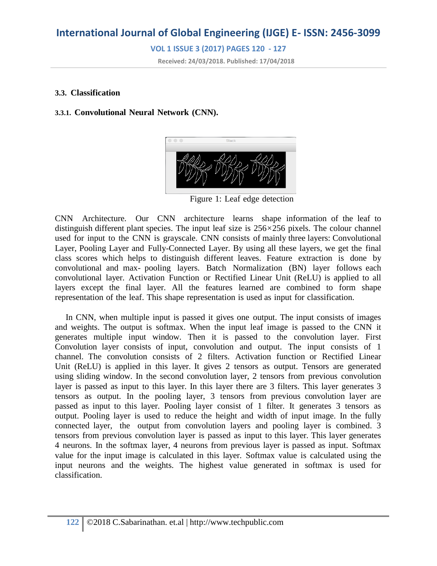**VOL 1 ISSUE 3 (2017) PAGES 120 - 127**

**Received: 24/03/2018. Published: 17/04/2018**

#### **3.3. Classification**

### **3.3.1. Convolutional Neural Network (CNN).**



Figure 1: Leaf edge detection

CNN Architecture. Our CNN architecture learns shape information of the leaf to distinguish different plant species. The input leaf size is 256*×*256 pixels. The colour channel used for input to the CNN is grayscale. CNN consists of mainly three layers: Convolutional Layer, Pooling Layer and Fully-Connected Layer. By using all these layers, we get the final class scores which helps to distinguish different leaves. Feature extraction is done by convolutional and max- pooling layers. Batch Normalization (BN) layer follows each convolutional layer. Activation Function or Rectified Linear Unit (ReLU) is applied to all layers except the final layer. All the features learned are combined to form shape representation of the leaf. This shape representation is used as input for classification.

In CNN, when multiple input is passed it gives one output. The input consists of images and weights. The output is softmax. When the input leaf image is passed to the CNN it generates multiple input window. Then it is passed to the convolution layer. First Convolution layer consists of input, convolution and output. The input consists of 1 channel. The convolution consists of 2 filters. Activation function or Rectified Linear Unit (ReLU) is applied in this layer. It gives 2 tensors as output. Tensors are generated using sliding window. In the second convolution layer, 2 tensors from previous convolution layer is passed as input to this layer. In this layer there are 3 filters. This layer generates 3 tensors as output. In the pooling layer, 3 tensors from previous convolution layer are passed as input to this layer. Pooling layer consist of 1 filter. It generates 3 tensors as output. Pooling layer is used to reduce the height and width of input image. In the fully connected layer, the output from convolution layers and pooling layer is combined. 3 tensors from previous convolution layer is passed as input to this layer. This layer generates 4 neurons. In the softmax layer, 4 neurons from previous layer is passed as input. Softmax value for the input image is calculated in this layer. Softmax value is calculated using the input neurons and the weights. The highest value generated in softmax is used for classification.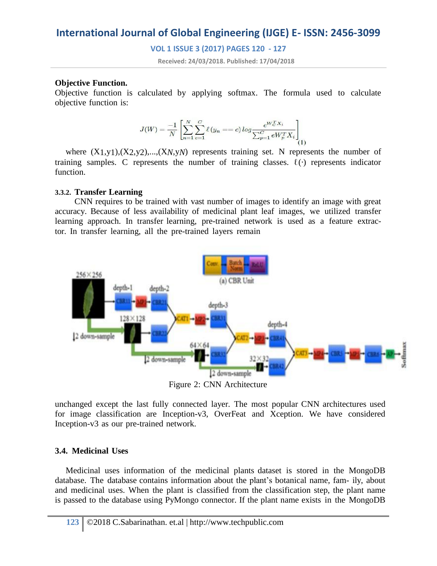**VOL 1 ISSUE 3 (2017) PAGES 120 - 127**

**Received: 24/03/2018. Published: 17/04/2018**

### **Objective Function.**

Objective function is calculated by applying softmax. The formula used to calculate objective function is:

$$
J(W) = \frac{-1}{N} \left[ \sum_{n=1}^{N} \sum_{c=1}^{C} \ell(y_n == c) \log \frac{e^{W_C^T X_i}}{\sum_{p=1}^{C} eW_p^T X_i} \right] (1)
$$

where  $(X_1,y_1),(X_2,y_2),...,(X_N,y_N)$  represents training set. N represents the number of training samples. C represents the number of training classes. ℓ(*·*) represents indicator function.

### **3.3.2. Transfer Learning**

CNN requires to be trained with vast number of images to identify an image with great accuracy. Because of less availability of medicinal plant leaf images, we utilized transfer learning approach. In transfer learning, pre-trained network is used as a feature extractor. In transfer learning, all the pre-trained layers remain



unchanged except the last fully connected layer. The most popular CNN architectures used for image classification are Inception-v3, OverFeat and Xception. We have considered Inception-v3 as our pre-trained network.

#### **3.4. Medicinal Uses**

Medicinal uses information of the medicinal plants dataset is stored in the MongoDB database. The database contains information about the plant's botanical name, fam- ily, about and medicinal uses. When the plant is classified from the classification step, the plant name is passed to the database using PyMongo connector. If the plant name exists in the MongoDB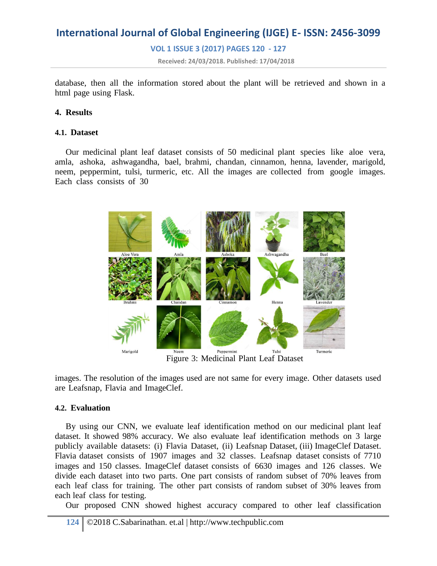**VOL 1 ISSUE 3 (2017) PAGES 120 - 127**

**Received: 24/03/2018. Published: 17/04/2018**

database, then all the information stored about the plant will be retrieved and shown in a html page using Flask.

### **4. Results**

### **4.1. Dataset**

Our medicinal plant leaf dataset consists of 50 medicinal plant species like aloe vera, amla, ashoka, ashwagandha, bael, brahmi, chandan, cinnamon, henna, lavender, marigold, neem, peppermint, tulsi, turmeric, etc. All the images are collected from google images. Each class consists of 30



Figure 3: Medicinal Plant Leaf Dataset

images. The resolution of the images used are not same for every image. Other datasets used are Leafsnap, Flavia and ImageClef.

#### **4.2. Evaluation**

By using our CNN, we evaluate leaf identification method on our medicinal plant leaf dataset. It showed 98% accuracy. We also evaluate leaf identification methods on 3 large publicly available datasets: (i) Flavia Dataset, (ii) Leafsnap Dataset, (iii) ImageClef Dataset. Flavia dataset consists of 1907 images and 32 classes. Leafsnap dataset consists of 7710 images and 150 classes. ImageClef dataset consists of 6630 images and 126 classes. We divide each dataset into two parts. One part consists of random subset of 70% leaves from each leaf class for training. The other part consists of random subset of 30% leaves from each leaf class for testing.

Our proposed CNN showed highest accuracy compared to other leaf classification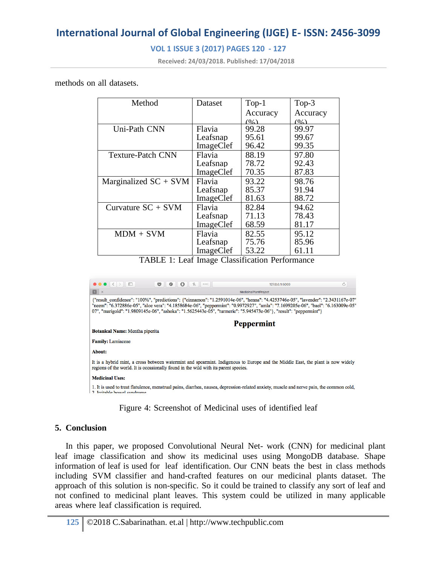## **VOL 1 ISSUE 3 (2017) PAGES 120 - 127**

**Received: 24/03/2018. Published: 17/04/2018**

methods on all datasets.

| Method                   | Dataset   | $Top-1$  | Top- $3$ |
|--------------------------|-----------|----------|----------|
|                          |           | Accuracy | Accuracy |
|                          |           | (0)      | (0)      |
| Uni-Path CNN             | Flavia    | 99.28    | 99.97    |
|                          | Leafsnap  | 95.61    | 99.67    |
|                          | ImageClef | 96.42    | 99.35    |
| <b>Texture-Patch CNN</b> | Flavia    | 88.19    | 97.80    |
|                          | Leafsnap  | 78.72    | 92.43    |
|                          | ImageClef | 70.35    | 87.83    |
| Marginalized $SC + SVM$  | Flavia    | 93.22    | 98.76    |
|                          | Leafsnap  | 85.37    | 91.94    |
|                          | ImageClef | 81.63    | 88.72    |
| Curvature $SC + SVM$     | Flavia    | 82.84    | 94.62    |
|                          | Leafsnap  | 71.13    | 78.43    |
|                          | ImageClef | 68.59    | 81.17    |
| $MDM + SVM$              | Flavia    | 82.55    | 95.12    |
|                          | Leafsnap  | 75.76    | 85.96    |
|                          | ImageClef | 53.22    | 61.11    |

TABLE 1: Leaf Image Classification Performance



Figure 4: Screenshot of Medicinal uses of identified leaf

### **5. Conclusion**

In this paper, we proposed Convolutional Neural Net- work (CNN) for medicinal plant leaf image classification and show its medicinal uses using MongoDB database. Shape information of leaf is used for leaf identification. Our CNN beats the best in class methods including SVM classifier and hand-crafted features on our medicinal plants dataset. The approach of this solution is non-specific. So it could be trained to classify any sort of leaf and not confined to medicinal plant leaves. This system could be utilized in many applicable areas where leaf classification is required.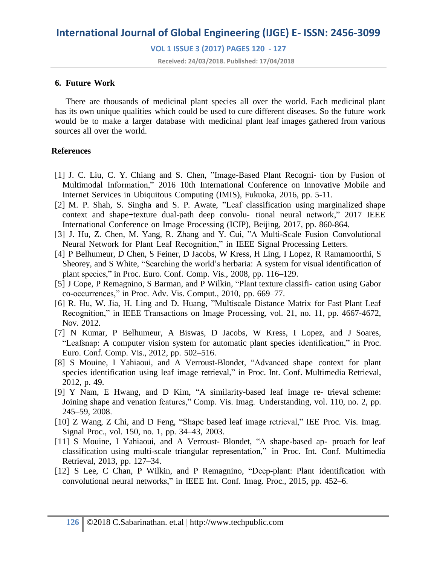### **VOL 1 ISSUE 3 (2017) PAGES 120 - 127**

**Received: 24/03/2018. Published: 17/04/2018**

### **6. Future Work**

There are thousands of medicinal plant species all over the world. Each medicinal plant has its own unique qualities which could be used to cure different diseases. So the future work would be to make a larger database with medicinal plant leaf images gathered from various sources all over the world.

### **References**

- [1] J. C. Liu, C. Y. Chiang and S. Chen, "Image-Based Plant Recogni- tion by Fusion of Multimodal Information," 2016 10th International Conference on Innovative Mobile and Internet Services in Ubiquitous Computing (IMIS), Fukuoka, 2016, pp. 5-11.
- [2] M. P. Shah, S. Singha and S. P. Awate, "Leaf classification using marginalized shape context and shape+texture dual-path deep convolu- tional neural network," 2017 IEEE International Conference on Image Processing (ICIP), Beijing, 2017, pp. 860-864.
- [3] J. Hu, Z. Chen, M. Yang, R. Zhang and Y. Cui, "A Multi-Scale Fusion Convolutional Neural Network for Plant Leaf Recognition," in IEEE Signal Processing Letters.
- [4] P Belhumeur, D Chen, S Feiner, D Jacobs, W Kress, H Ling, I Lopez, R Ramamoorthi, S Sheorey, and S White, "Searching the world's herbaria: A system for visual identification of plant species," in Proc. Euro. Conf. Comp. Vis., 2008, pp. 116–129.
- [5] J Cope, P Remagnino, S Barman, and P Wilkin, "Plant texture classifi- cation using Gabor co-occurrences," in Proc. Adv. Vis. Comput., 2010, pp. 669–77.
- [6] R. Hu, W. Jia, H. Ling and D. Huang, "Multiscale Distance Matrix for Fast Plant Leaf Recognition," in IEEE Transactions on Image Processing, vol. 21, no. 11, pp. 4667-4672, Nov. 2012.
- [7] N Kumar, P Belhumeur, A Biswas, D Jacobs, W Kress, I Lopez, and J Soares, "Leafsnap: A computer vision system for automatic plant species identification," in Proc. Euro. Conf. Comp. Vis., 2012, pp. 502–516.
- [8] S Mouine, I Yahiaoui, and A Verroust-Blondet, "Advanced shape context for plant species identification using leaf image retrieval," in Proc. Int. Conf. Multimedia Retrieval, 2012, p. 49.
- [9] Y Nam, E Hwang, and D Kim, "A similarity-based leaf image re- trieval scheme: Joining shape and venation features," Comp. Vis. Imag. Understanding, vol. 110, no. 2, pp. 245–59, 2008.
- [10] Z Wang, Z Chi, and D Feng, "Shape based leaf image retrieval," IEE Proc. Vis. Imag. Signal Proc., vol. 150, no. 1, pp. 34–43, 2003.
- [11] S Mouine, I Yahiaoui, and A Verroust- Blondet, "A shape-based ap- proach for leaf classification using multi-scale triangular representation," in Proc. Int. Conf. Multimedia Retrieval, 2013, pp. 127–34.
- [12] S Lee, C Chan, P Wilkin, and P Remagnino, "Deep-plant: Plant identification with convolutional neural networks," in IEEE Int. Conf. Imag. Proc., 2015, pp. 452–6.